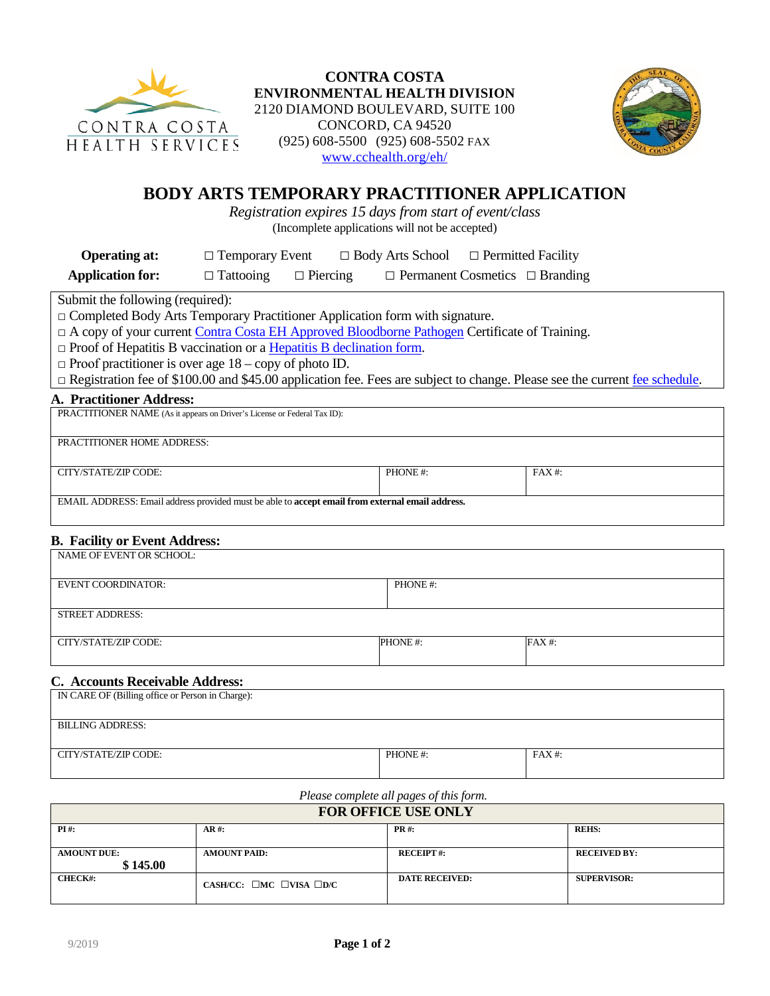

**CONTRA COSTA ENVIRONMENTAL HEALTH DIVISION** 2120 DIAMOND BOULEVARD, SUITE 100 CONCORD, CA 94520 (925) 608-5500 (925) 608-5502 FAX [www.cchealth.org/eh/](https://www.cchealth.org/eh/)



# **BODY ARTS TEMPORARY PRACTITIONER APPLICATION**

*Registration expires 15 days from start of event/class* (Incomplete applications will not be accepted)

**Operating at:** □ Temporary Event □ Body Arts School □ Permitted Facility

**Application for:** □ Tattooing □ Piercing □ Permanent Cosmetics □ Branding

Submit the following (required):

□ Completed Body Arts Temporary Practitioner Application form with signature.

□ A copy of your current Contra Costa EH [Approved Bloodborne Pathogen](https://cchealth.org/eh/body-art/pdf/Approved-BBP-Trainer-List.pdf) Certificate of Training.

 $\Box$  Proof of Hepatitis B vaccination or a [Hepatitis B declination form.](https://cchealth.org/eh/body-art/pdf/Approved-BBP-Trainer-List.pdf)

 $\Box$  Proof practitioner is over age  $18 -$ copy of photo ID.

□ Registration fee of \$100.00 and \$45.00 application fee. Fees are subject to change. Please see the current [fee schedule.](https://cchealth.org/eh/body-art/fees.php)

#### **A. Practitioner Address:**

| PRACTITIONER NAME (As it appears on Driver's License or Federal Tax ID):                        |         |        |
|-------------------------------------------------------------------------------------------------|---------|--------|
|                                                                                                 |         |        |
| <b>PRACTITIONER HOME ADDRESS:</b>                                                               |         |        |
|                                                                                                 |         |        |
| CITY/STATE/ZIP CODE:                                                                            | PHONE#: | FAX #: |
|                                                                                                 |         |        |
| EMAIL ADDRESS: Email address provided must be able to accept email from external email address. |         |        |
|                                                                                                 |         |        |

# **B. Facility or Event Address:**

| NAME OF EVENT OR SCHOOL:                                       |         |          |  |
|----------------------------------------------------------------|---------|----------|--|
| <b>EVENT COORDINATOR:</b>                                      | PHONE#: |          |  |
| <b>STREET ADDRESS:</b>                                         |         |          |  |
| CITY/STATE/ZIP CODE:                                           | PHONE#: | $FAX#$ : |  |
| $\alpha$ $\alpha$ $\alpha$ $\alpha$ $\alpha$ $\alpha$ $\alpha$ |         |          |  |

#### **C. Accounts Receivable Address:**

| IN CARE OF (Billing office or Person in Charge): |         |          |
|--------------------------------------------------|---------|----------|
| <b>BILLING ADDRESS:</b>                          |         |          |
| CITY/STATE/ZIP CODE:                             | PHONE#: | $FAX#$ : |

### *Please complete all pages of this form.*

| <b>FOR OFFICE USE ONLY</b> |                                                    |                       |                     |
|----------------------------|----------------------------------------------------|-----------------------|---------------------|
| $PI#$ :                    | $AR$ #:                                            | <b>PR#:</b>           | <b>REHS:</b>        |
|                            |                                                    |                       |                     |
| <b>AMOUNT DUE:</b>         | <b>AMOUNT PAID:</b>                                | <b>RECEIPT#:</b>      | <b>RECEIVED BY:</b> |
| \$145.00                   |                                                    |                       |                     |
| <b>CHECK#:</b>             | CASH/CC: $\square$ MC $\square$ VISA $\square$ D/C | <b>DATE RECEIVED:</b> | <b>SUPERVISOR:</b>  |